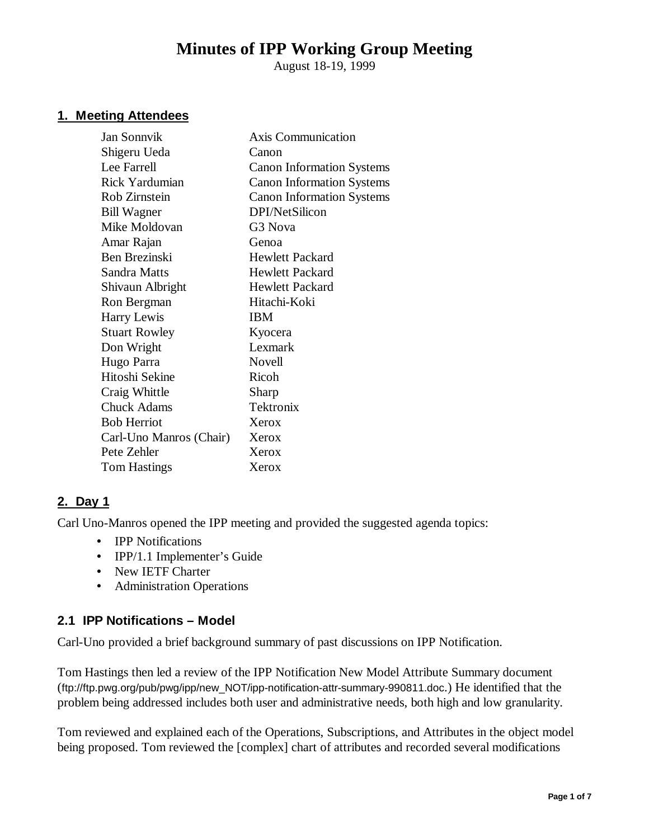# **Minutes of IPP Working Group Meeting**

August 18-19, 1999

## **1. Meeting Attendees**

| Canon                            |
|----------------------------------|
| <b>Canon Information Systems</b> |
| <b>Canon Information Systems</b> |
| <b>Canon Information Systems</b> |
| DPI/NetSilicon                   |
| G3 Nova                          |
| Genoa                            |
| <b>Hewlett Packard</b>           |
| <b>Hewlett Packard</b>           |
| Hewlett Packard                  |
| Hitachi-Koki                     |
| IBM                              |
| Kyocera                          |
| Lexmark                          |
| Novell                           |
| Ricoh                            |
| Sharp                            |
| Tektronix                        |
| Xerox                            |
| Xerox                            |
| Xerox                            |
| Xerox                            |
|                                  |

# **2. Day 1**

Carl Uno-Manros opened the IPP meeting and provided the suggested agenda topics:

- **IPP Notifications**
- IPP/1.1 Implementer's Guide
- New IETF Charter
- Administration Operations

# **2.1 IPP Notifications – Model**

Carl-Uno provided a brief background summary of past discussions on IPP Notification.

Tom Hastings then led a review of the IPP Notification New Model Attribute Summary document (ftp://ftp.pwg.org/pub/pwg/ipp/new\_NOT/ipp-notification-attr-summary-990811.doc.) He identified that the problem being addressed includes both user and administrative needs, both high and low granularity.

Tom reviewed and explained each of the Operations, Subscriptions, and Attributes in the object model being proposed. Tom reviewed the [complex] chart of attributes and recorded several modifications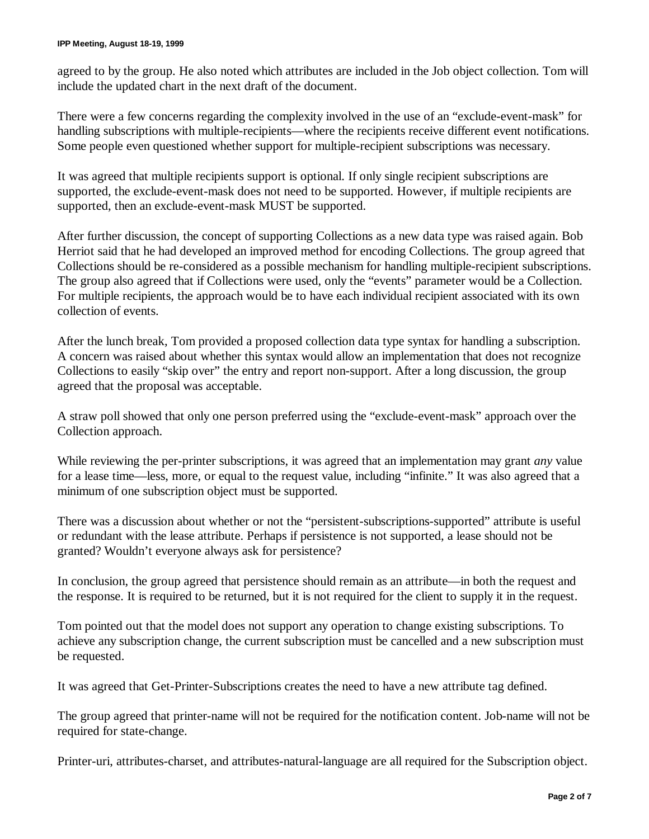agreed to by the group. He also noted which attributes are included in the Job object collection. Tom will include the updated chart in the next draft of the document.

There were a few concerns regarding the complexity involved in the use of an "exclude-event-mask" for handling subscriptions with multiple-recipients—where the recipients receive different event notifications. Some people even questioned whether support for multiple-recipient subscriptions was necessary.

It was agreed that multiple recipients support is optional. If only single recipient subscriptions are supported, the exclude-event-mask does not need to be supported. However, if multiple recipients are supported, then an exclude-event-mask MUST be supported.

After further discussion, the concept of supporting Collections as a new data type was raised again. Bob Herriot said that he had developed an improved method for encoding Collections. The group agreed that Collections should be re-considered as a possible mechanism for handling multiple-recipient subscriptions. The group also agreed that if Collections were used, only the "events" parameter would be a Collection. For multiple recipients, the approach would be to have each individual recipient associated with its own collection of events.

After the lunch break, Tom provided a proposed collection data type syntax for handling a subscription. A concern was raised about whether this syntax would allow an implementation that does not recognize Collections to easily "skip over" the entry and report non-support. After a long discussion, the group agreed that the proposal was acceptable.

A straw poll showed that only one person preferred using the "exclude-event-mask" approach over the Collection approach.

While reviewing the per-printer subscriptions, it was agreed that an implementation may grant *any* value for a lease time— less, more, or equal to the request value, including "infinite." It was also agreed that a minimum of one subscription object must be supported.

There was a discussion about whether or not the "persistent-subscriptions-supported" attribute is useful or redundant with the lease attribute. Perhaps if persistence is not supported, a lease should not be granted? Wouldn't everyone always ask for persistence?

In conclusion, the group agreed that persistence should remain as an attribute— in both the request and the response. It is required to be returned, but it is not required for the client to supply it in the request.

Tom pointed out that the model does not support any operation to change existing subscriptions. To achieve any subscription change, the current subscription must be cancelled and a new subscription must be requested.

It was agreed that Get-Printer-Subscriptions creates the need to have a new attribute tag defined.

The group agreed that printer-name will not be required for the notification content. Job-name will not be required for state-change.

Printer-uri, attributes-charset, and attributes-natural-language are all required for the Subscription object.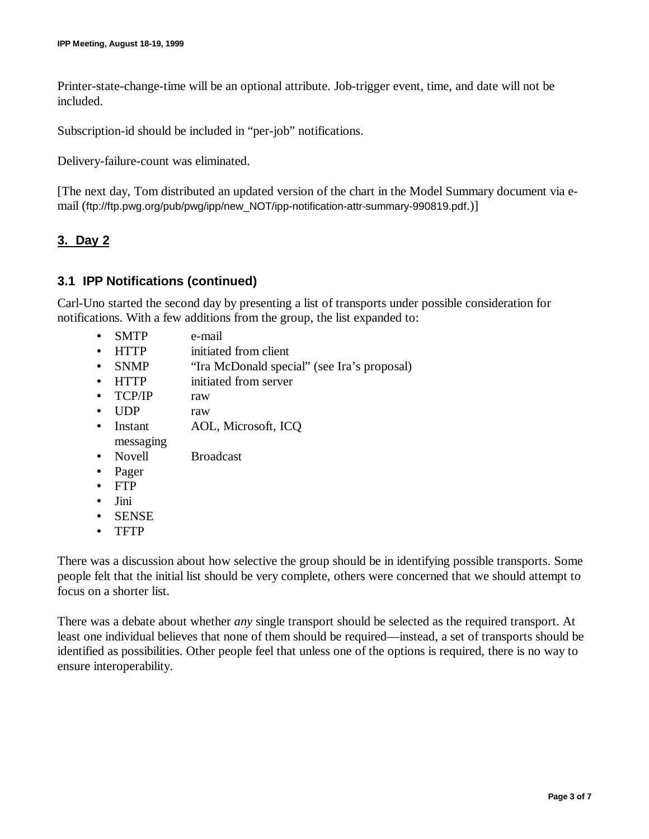Printer-state-change-time will be an optional attribute. Job-trigger event, time, and date will not be included.

Subscription-id should be included in "per-job" notifications.

Delivery-failure-count was eliminated.

[The next day, Tom distributed an updated version of the chart in the Model Summary document via email (ftp://ftp.pwg.org/pub/pwg/ipp/new\_NOT/ipp-notification-attr-summary-990819.pdf.)]

#### **3. Day 2**

#### **3.1 IPP Notifications (continued)**

Carl-Uno started the second day by presenting a list of transports under possible consideration for notifications. With a few additions from the group, the list expanded to:

- SMTP e-mail
- HTTP initiated from client
- SNMP "Ira McDonald special" (see Ira's proposal)
- HTTP initiated from server
- TCP/IP raw
- UDP raw
- Instant AOL, Microsoft, ICQ messaging
- Novell Broadcast
- Pager
- FTP
- Jini
- SENSE
- TFTP

There was a discussion about how selective the group should be in identifying possible transports. Some people felt that the initial list should be very complete, others were concerned that we should attempt to focus on a shorter list.

There was a debate about whether *any* single transport should be selected as the required transport. At least one individual believes that none of them should be required— instead, a set of transports should be identified as possibilities. Other people feel that unless one of the options is required, there is no way to ensure interoperability.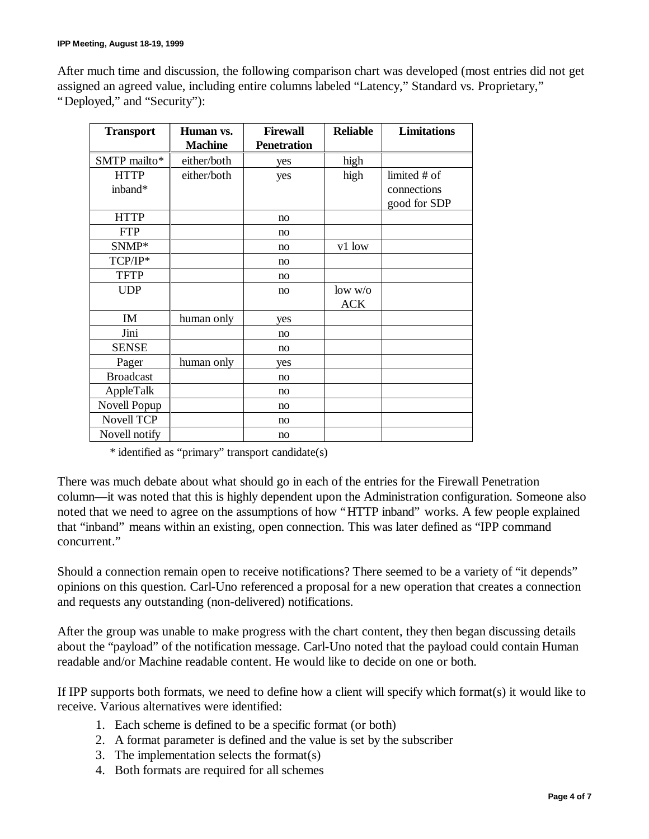After much time and discussion, the following comparison chart was developed (most entries did not get assigned an agreed value, including entire columns labeled "Latency," Standard vs. Proprietary," "Deployed," and "Security"):

| <b>Transport</b>       | Human vs.      | <b>Firewall</b>    | <b>Reliable</b>       | <b>Limitations</b>                          |
|------------------------|----------------|--------------------|-----------------------|---------------------------------------------|
|                        | <b>Machine</b> | <b>Penetration</b> |                       |                                             |
| SMTP mailto*           | either/both    | yes                | high                  |                                             |
| <b>HTTP</b><br>inband* | either/both    | yes                | high                  | limited # of<br>connections<br>good for SDP |
| <b>HTTP</b>            |                | no                 |                       |                                             |
| <b>FTP</b>             |                | no                 |                       |                                             |
| SNMP*                  |                | no                 | v1 low                |                                             |
| TCP/IP*                |                | no                 |                       |                                             |
| <b>TFTP</b>            |                | no                 |                       |                                             |
| <b>UDP</b>             |                | no                 | low w/o<br><b>ACK</b> |                                             |
| IM                     | human only     | yes                |                       |                                             |
| Jini                   |                | no                 |                       |                                             |
| <b>SENSE</b>           |                | no                 |                       |                                             |
| Pager                  | human only     | yes                |                       |                                             |
| <b>Broadcast</b>       |                | no                 |                       |                                             |
| AppleTalk              |                | no                 |                       |                                             |
| Novell Popup           |                | no                 |                       |                                             |
| <b>Novell TCP</b>      |                | no                 |                       |                                             |
| Novell notify          |                | no                 |                       |                                             |

\* identified as "primary" transport candidate(s)

There was much debate about what should go in each of the entries for the Firewall Penetration column— it was noted that this is highly dependent upon the Administration configuration. Someone also noted that we need to agree on the assumptions of how "HTTP inband" works. A few people explained that "inband" means within an existing, open connection. This was later defined as "IPP command concurrent."

Should a connection remain open to receive notifications? There seemed to be a variety of "it depends" opinions on this question. Carl-Uno referenced a proposal for a new operation that creates a connection and requests any outstanding (non-delivered) notifications.

After the group was unable to make progress with the chart content, they then began discussing details about the "payload" of the notification message. Carl-Uno noted that the payload could contain Human readable and/or Machine readable content. He would like to decide on one or both.

If IPP supports both formats, we need to define how a client will specify which format(s) it would like to receive. Various alternatives were identified:

- 1. Each scheme is defined to be a specific format (or both)
- 2. A format parameter is defined and the value is set by the subscriber
- 3. The implementation selects the format(s)
- 4. Both formats are required for all schemes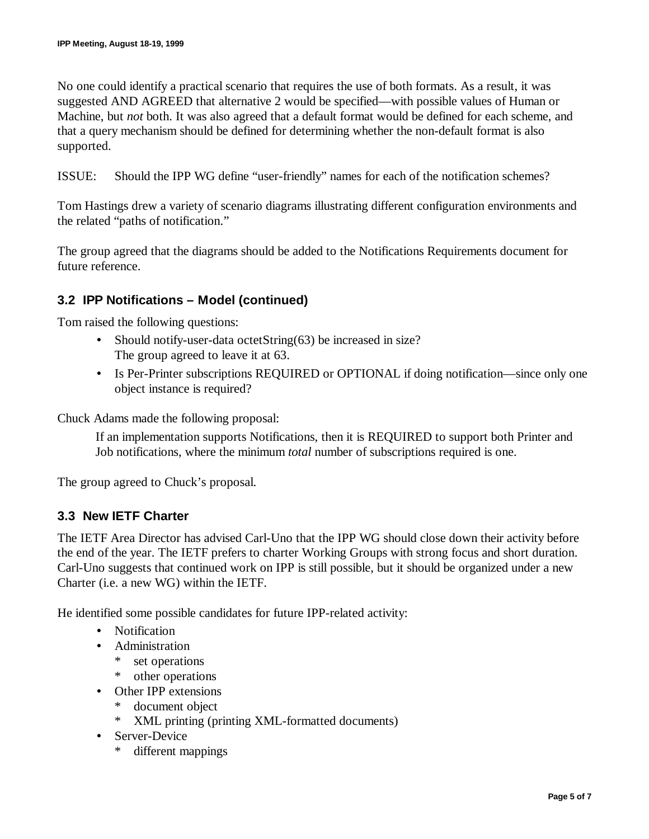No one could identify a practical scenario that requires the use of both formats. As a result, it was suggested AND AGREED that alternative 2 would be specified— with possible values of Human or Machine, but *not* both. It was also agreed that a default format would be defined for each scheme, and that a query mechanism should be defined for determining whether the non-default format is also supported.

ISSUE: Should the IPP WG define "user-friendly" names for each of the notification schemes?

Tom Hastings drew a variety of scenario diagrams illustrating different configuration environments and the related "paths of notification."

The group agreed that the diagrams should be added to the Notifications Requirements document for future reference.

# **3.2 IPP Notifications – Model (continued)**

Tom raised the following questions:

- Should notify-user-data octetString(63) be increased in size? The group agreed to leave it at 63.
- Is Per-Printer subscriptions REQUIRED or OPTIONAL if doing notification—since only one object instance is required?

Chuck Adams made the following proposal:

If an implementation supports Notifications, then it is REQUIRED to support both Printer and Job notifications, where the minimum *total* number of subscriptions required is one.

The group agreed to Chuck's proposal.

## **3.3 New IETF Charter**

The IETF Area Director has advised Carl-Uno that the IPP WG should close down their activity before the end of the year. The IETF prefers to charter Working Groups with strong focus and short duration. Carl-Uno suggests that continued work on IPP is still possible, but it should be organized under a new Charter (i.e. a new WG) within the IETF.

He identified some possible candidates for future IPP-related activity:

- Notification
- Administration
	- \* set operations
	- \* other operations
- Other IPP extensions
	- \* document object
	- \* XML printing (printing XML-formatted documents)
- Server-Device
	- \* different mappings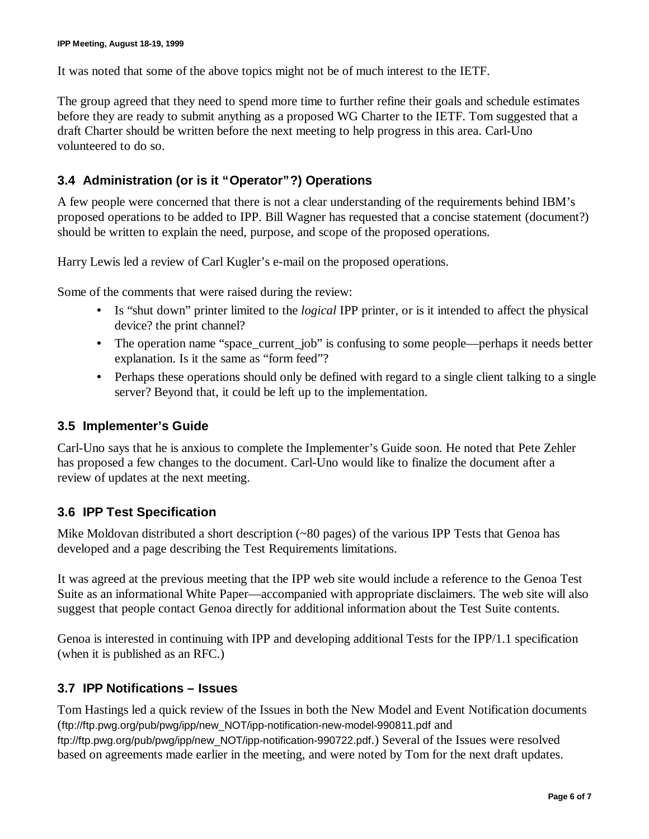It was noted that some of the above topics might not be of much interest to the IETF.

The group agreed that they need to spend more time to further refine their goals and schedule estimates before they are ready to submit anything as a proposed WG Charter to the IETF. Tom suggested that a draft Charter should be written before the next meeting to help progress in this area. Carl-Uno volunteered to do so.

## **3.4 Administration (or is it "Operator"?) Operations**

A few people were concerned that there is not a clear understanding of the requirements behind IBM's proposed operations to be added to IPP. Bill Wagner has requested that a concise statement (document?) should be written to explain the need, purpose, and scope of the proposed operations.

Harry Lewis led a review of Carl Kugler's e-mail on the proposed operations.

Some of the comments that were raised during the review:

- Is "shut down" printer limited to the *logical* IPP printer, or is it intended to affect the physical device? the print channel?
- The operation name "space\_current\_job" is confusing to some people—perhaps it needs better explanation. Is it the same as "form feed"?
- Perhaps these operations should only be defined with regard to a single client talking to a single server? Beyond that, it could be left up to the implementation.

#### **3.5 Implementer's Guide**

Carl-Uno says that he is anxious to complete the Implementer's Guide soon. He noted that Pete Zehler has proposed a few changes to the document. Carl-Uno would like to finalize the document after a review of updates at the next meeting.

## **3.6 IPP Test Specification**

Mike Moldovan distributed a short description (~80 pages) of the various IPP Tests that Genoa has developed and a page describing the Test Requirements limitations.

It was agreed at the previous meeting that the IPP web site would include a reference to the Genoa Test Suite as an informational White Paper— accompanied with appropriate disclaimers. The web site will also suggest that people contact Genoa directly for additional information about the Test Suite contents.

Genoa is interested in continuing with IPP and developing additional Tests for the IPP/1.1 specification (when it is published as an RFC.)

## **3.7 IPP Notifications – Issues**

Tom Hastings led a quick review of the Issues in both the New Model and Event Notification documents (ftp://ftp.pwg.org/pub/pwg/ipp/new\_NOT/ipp-notification-new-model-990811.pdf and ftp://ftp.pwg.org/pub/pwg/ipp/new\_NOT/ipp-notification-990722.pdf.) Several of the Issues were resolved based on agreements made earlier in the meeting, and were noted by Tom for the next draft updates.